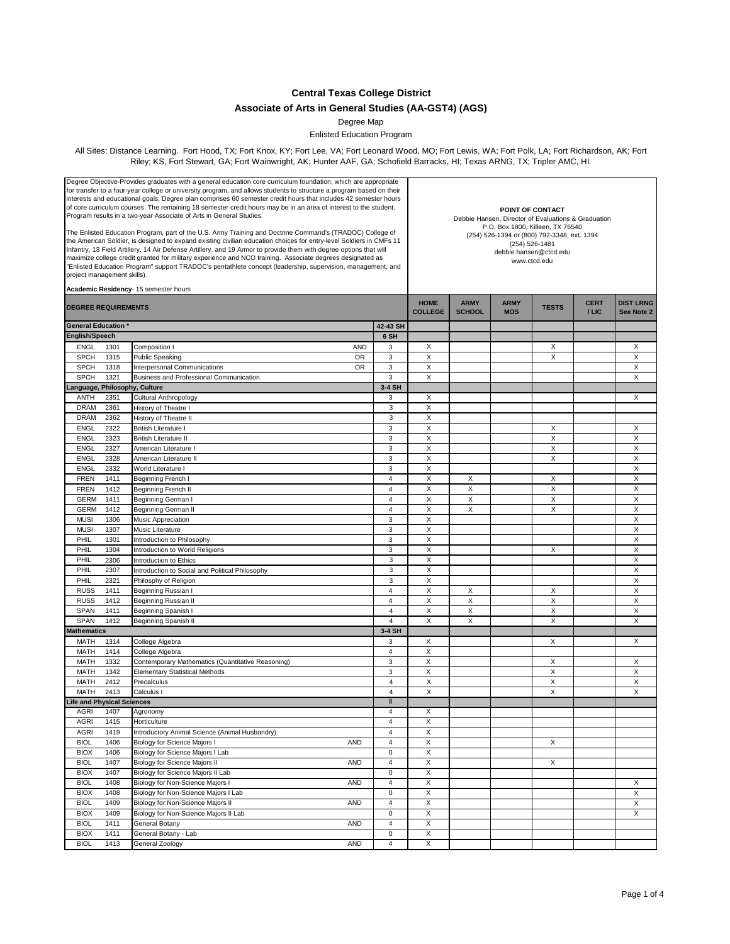**Central Texas College District**

## **Associate of Arts in General Studies (AA-GST4) (AGS)**

Degree Map

Enlisted Education Program

All Sites: Distance Learning. Fort Hood, TX; Fort Knox, KY; Fort Lee, VA; Fort Leonard Wood, MO; Fort Lewis, WA; Fort Polk, LA; Fort Richardson, AK; Fort Riley; KS, Fort Stewart, GA; Fort Wainwright, AK; Hunter AAF, GA; Schofield Barracks, HI; Texas ARNG, TX; Tripler AMC, HI.

| Degree Objective-Provides graduates with a general education core curriculum foundation, which are appropriate<br>for transfer to a four-year college or university program, and allows students to structure a program based on their<br>interests and educational goals. Degree plan comprises 60 semester credit hours that includes 42 semester hours<br>of core curriculum courses. The remaining 18 semester credit hours may be in an area of interest to the student.<br>Program results in a two-year Associate of Arts in General Studies.<br>The Enlisted Education Program, part of the U.S. Army Training and Doctrine Command's (TRADOC) College of<br>the American Soldier, is designed to expand existing civilian education choices for entry-level Soldiers in CMFs 11<br>Infantry, 13 Field Artillery, 14 Air Defense Artillery, and 19 Armor to provide them with degree options that will<br>maximize college credit granted for military experience and NCO training. Associate degrees designated as<br>"Enlisted Education Program" support TRADOC's pentathlete concept (leadership, supervision, management, and<br>project management skills).<br>Academic Residency- 15 semester hours |      |                                                   |                           | POINT OF CONTACT<br>Debbie Hansen, Director of Evaluations & Graduation<br>P.O. Box 1800, Killeen, TX 76540<br>(254) 526-1394 or (800) 792-3348, ext. 1394<br>(254) 526-1481<br>debbie.hansen@ctcd.edu<br>www.ctcd.edu |                              |                           |              |                      |                                |
|--------------------------------------------------------------------------------------------------------------------------------------------------------------------------------------------------------------------------------------------------------------------------------------------------------------------------------------------------------------------------------------------------------------------------------------------------------------------------------------------------------------------------------------------------------------------------------------------------------------------------------------------------------------------------------------------------------------------------------------------------------------------------------------------------------------------------------------------------------------------------------------------------------------------------------------------------------------------------------------------------------------------------------------------------------------------------------------------------------------------------------------------------------------------------------------------------------------------|------|---------------------------------------------------|---------------------------|------------------------------------------------------------------------------------------------------------------------------------------------------------------------------------------------------------------------|------------------------------|---------------------------|--------------|----------------------|--------------------------------|
| <b>DEGREE REQUIREMENTS</b>                                                                                                                                                                                                                                                                                                                                                                                                                                                                                                                                                                                                                                                                                                                                                                                                                                                                                                                                                                                                                                                                                                                                                                                         |      |                                                   |                           | <b>HOME</b><br><b>COLLEGE</b>                                                                                                                                                                                          | <b>ARMY</b><br><b>SCHOOL</b> | <b>ARMY</b><br><b>MOS</b> | <b>TESTS</b> | <b>CERT</b><br>/ LIC | <b>DIST LRNG</b><br>See Note 2 |
| <b>General Education</b>                                                                                                                                                                                                                                                                                                                                                                                                                                                                                                                                                                                                                                                                                                                                                                                                                                                                                                                                                                                                                                                                                                                                                                                           |      |                                                   | 42-43 SH                  |                                                                                                                                                                                                                        |                              |                           |              |                      |                                |
| English/Speech                                                                                                                                                                                                                                                                                                                                                                                                                                                                                                                                                                                                                                                                                                                                                                                                                                                                                                                                                                                                                                                                                                                                                                                                     |      |                                                   | 6 SH                      |                                                                                                                                                                                                                        |                              |                           |              |                      |                                |
| <b>ENGL</b>                                                                                                                                                                                                                                                                                                                                                                                                                                                                                                                                                                                                                                                                                                                                                                                                                                                                                                                                                                                                                                                                                                                                                                                                        | 1301 | Composition I<br><b>AND</b>                       | 3                         | X                                                                                                                                                                                                                      |                              |                           | X            |                      | Χ                              |
| <b>SPCH</b>                                                                                                                                                                                                                                                                                                                                                                                                                                                                                                                                                                                                                                                                                                                                                                                                                                                                                                                                                                                                                                                                                                                                                                                                        | 1315 | <b>OR</b><br><b>Public Speaking</b>               | 3                         | X                                                                                                                                                                                                                      |                              |                           | X            |                      | X                              |
| <b>SPCH</b>                                                                                                                                                                                                                                                                                                                                                                                                                                                                                                                                                                                                                                                                                                                                                                                                                                                                                                                                                                                                                                                                                                                                                                                                        | 1318 | Interpersonal Communications<br><b>OR</b>         | 3                         | X                                                                                                                                                                                                                      |                              |                           |              |                      | Χ                              |
| <b>SPCH</b>                                                                                                                                                                                                                                                                                                                                                                                                                                                                                                                                                                                                                                                                                                                                                                                                                                                                                                                                                                                                                                                                                                                                                                                                        | 1321 | Business and Professional Communication           | 3                         | X                                                                                                                                                                                                                      |                              |                           |              |                      | Χ                              |
| Language, Philosophy, Culture                                                                                                                                                                                                                                                                                                                                                                                                                                                                                                                                                                                                                                                                                                                                                                                                                                                                                                                                                                                                                                                                                                                                                                                      |      |                                                   | 3-4 SH                    |                                                                                                                                                                                                                        |                              |                           |              |                      |                                |
| ANTH                                                                                                                                                                                                                                                                                                                                                                                                                                                                                                                                                                                                                                                                                                                                                                                                                                                                                                                                                                                                                                                                                                                                                                                                               | 2351 | Cultural Anthropology                             | 3                         | X                                                                                                                                                                                                                      |                              |                           |              |                      | X                              |
| <b>DRAM</b>                                                                                                                                                                                                                                                                                                                                                                                                                                                                                                                                                                                                                                                                                                                                                                                                                                                                                                                                                                                                                                                                                                                                                                                                        | 2361 | History of Theatre I                              | $\ensuremath{\mathsf{3}}$ | X                                                                                                                                                                                                                      |                              |                           |              |                      |                                |
| <b>DRAM</b>                                                                                                                                                                                                                                                                                                                                                                                                                                                                                                                                                                                                                                                                                                                                                                                                                                                                                                                                                                                                                                                                                                                                                                                                        | 2362 | History of Theatre II                             | 3                         | X                                                                                                                                                                                                                      |                              |                           |              |                      |                                |
| <b>ENGL</b>                                                                                                                                                                                                                                                                                                                                                                                                                                                                                                                                                                                                                                                                                                                                                                                                                                                                                                                                                                                                                                                                                                                                                                                                        | 2322 | <b>British Literature I</b>                       | 3                         | X                                                                                                                                                                                                                      |                              |                           | X            |                      | X                              |
| <b>ENGL</b>                                                                                                                                                                                                                                                                                                                                                                                                                                                                                                                                                                                                                                                                                                                                                                                                                                                                                                                                                                                                                                                                                                                                                                                                        | 2323 | <b>British Literature II</b>                      | 3                         | $\overline{\mathsf{x}}$                                                                                                                                                                                                |                              |                           | X            |                      | X                              |
| <b>ENGL</b>                                                                                                                                                                                                                                                                                                                                                                                                                                                                                                                                                                                                                                                                                                                                                                                                                                                                                                                                                                                                                                                                                                                                                                                                        | 2327 | American Literature I                             | 3                         | X                                                                                                                                                                                                                      |                              |                           | X            |                      | $\mathsf X$                    |
| <b>ENGL</b>                                                                                                                                                                                                                                                                                                                                                                                                                                                                                                                                                                                                                                                                                                                                                                                                                                                                                                                                                                                                                                                                                                                                                                                                        | 2328 | American Literature II                            | 3                         | X                                                                                                                                                                                                                      |                              |                           | X            |                      | X                              |
| <b>ENGL</b>                                                                                                                                                                                                                                                                                                                                                                                                                                                                                                                                                                                                                                                                                                                                                                                                                                                                                                                                                                                                                                                                                                                                                                                                        | 2332 | World Literature I                                | 3                         | X                                                                                                                                                                                                                      |                              |                           |              |                      | X                              |
| <b>FREN</b>                                                                                                                                                                                                                                                                                                                                                                                                                                                                                                                                                                                                                                                                                                                                                                                                                                                                                                                                                                                                                                                                                                                                                                                                        | 1411 | Beginning French I                                | $\overline{4}$            | X                                                                                                                                                                                                                      | Х                            |                           | Х            |                      | X                              |
| <b>FREN</b>                                                                                                                                                                                                                                                                                                                                                                                                                                                                                                                                                                                                                                                                                                                                                                                                                                                                                                                                                                                                                                                                                                                                                                                                        | 1412 | Beginning French II                               | $\overline{4}$            | X                                                                                                                                                                                                                      | X                            |                           | X            |                      | Χ                              |
| <b>GERM</b>                                                                                                                                                                                                                                                                                                                                                                                                                                                                                                                                                                                                                                                                                                                                                                                                                                                                                                                                                                                                                                                                                                                                                                                                        | 1411 | Beginning German I                                | $\overline{4}$            | X                                                                                                                                                                                                                      | X                            |                           | X            |                      | X                              |
| <b>GERM</b>                                                                                                                                                                                                                                                                                                                                                                                                                                                                                                                                                                                                                                                                                                                                                                                                                                                                                                                                                                                                                                                                                                                                                                                                        | 1412 | Beginning German II                               | $\overline{4}$            | X                                                                                                                                                                                                                      | X                            |                           | X            |                      | X                              |
| <b>MUSI</b>                                                                                                                                                                                                                                                                                                                                                                                                                                                                                                                                                                                                                                                                                                                                                                                                                                                                                                                                                                                                                                                                                                                                                                                                        | 1306 | Music Appreciation                                | 3                         | X                                                                                                                                                                                                                      |                              |                           |              |                      | X                              |
| <b>MUSI</b>                                                                                                                                                                                                                                                                                                                                                                                                                                                                                                                                                                                                                                                                                                                                                                                                                                                                                                                                                                                                                                                                                                                                                                                                        | 1307 | Music Literature                                  | 3                         | X                                                                                                                                                                                                                      |                              |                           |              |                      | $\mathsf X$                    |
|                                                                                                                                                                                                                                                                                                                                                                                                                                                                                                                                                                                                                                                                                                                                                                                                                                                                                                                                                                                                                                                                                                                                                                                                                    |      |                                                   | 3                         | X                                                                                                                                                                                                                      |                              |                           |              |                      | X                              |
| PHIL                                                                                                                                                                                                                                                                                                                                                                                                                                                                                                                                                                                                                                                                                                                                                                                                                                                                                                                                                                                                                                                                                                                                                                                                               | 1301 | Introduction to Philosophy                        |                           | X                                                                                                                                                                                                                      |                              |                           | X            |                      | X                              |
| PHIL                                                                                                                                                                                                                                                                                                                                                                                                                                                                                                                                                                                                                                                                                                                                                                                                                                                                                                                                                                                                                                                                                                                                                                                                               | 1304 | Introduction to World Religions                   | 3                         | X                                                                                                                                                                                                                      |                              |                           |              |                      | X                              |
| PHIL                                                                                                                                                                                                                                                                                                                                                                                                                                                                                                                                                                                                                                                                                                                                                                                                                                                                                                                                                                                                                                                                                                                                                                                                               | 2306 | Introduction to Ethics                            | 3                         |                                                                                                                                                                                                                        |                              |                           |              |                      |                                |
| PHIL                                                                                                                                                                                                                                                                                                                                                                                                                                                                                                                                                                                                                                                                                                                                                                                                                                                                                                                                                                                                                                                                                                                                                                                                               | 2307 | Introduction to Social and Political Philosophy   | $\ensuremath{\mathsf{3}}$ | X                                                                                                                                                                                                                      |                              |                           |              |                      | X                              |
| PHIL                                                                                                                                                                                                                                                                                                                                                                                                                                                                                                                                                                                                                                                                                                                                                                                                                                                                                                                                                                                                                                                                                                                                                                                                               | 2321 | Philosphy of Religion                             | $\mathsf 3$               | X                                                                                                                                                                                                                      |                              |                           |              |                      | X                              |
| <b>RUSS</b>                                                                                                                                                                                                                                                                                                                                                                                                                                                                                                                                                                                                                                                                                                                                                                                                                                                                                                                                                                                                                                                                                                                                                                                                        | 1411 | Beginning Russian I                               | $\overline{4}$            | X                                                                                                                                                                                                                      | Х                            |                           | Χ            |                      | Χ                              |
| <b>RUSS</b>                                                                                                                                                                                                                                                                                                                                                                                                                                                                                                                                                                                                                                                                                                                                                                                                                                                                                                                                                                                                                                                                                                                                                                                                        | 1412 | Beginning Russian II                              | $\overline{4}$            | X                                                                                                                                                                                                                      | X                            |                           | X            |                      | X                              |
| SPAN                                                                                                                                                                                                                                                                                                                                                                                                                                                                                                                                                                                                                                                                                                                                                                                                                                                                                                                                                                                                                                                                                                                                                                                                               | 1411 | Beginning Spanish I                               | $\overline{4}$            | X                                                                                                                                                                                                                      | X                            |                           | X            |                      | Χ                              |
| <b>SPAN</b>                                                                                                                                                                                                                                                                                                                                                                                                                                                                                                                                                                                                                                                                                                                                                                                                                                                                                                                                                                                                                                                                                                                                                                                                        | 1412 | Beginning Spanish II                              | $\overline{4}$            | X                                                                                                                                                                                                                      | X                            |                           | X            |                      | X                              |
| <b>Mathematics</b>                                                                                                                                                                                                                                                                                                                                                                                                                                                                                                                                                                                                                                                                                                                                                                                                                                                                                                                                                                                                                                                                                                                                                                                                 |      |                                                   | 3-4 SH                    |                                                                                                                                                                                                                        |                              |                           |              |                      |                                |
| MATH                                                                                                                                                                                                                                                                                                                                                                                                                                                                                                                                                                                                                                                                                                                                                                                                                                                                                                                                                                                                                                                                                                                                                                                                               | 1314 | College Algebra                                   | 3                         | X                                                                                                                                                                                                                      |                              |                           | X            |                      | X                              |
| MATH                                                                                                                                                                                                                                                                                                                                                                                                                                                                                                                                                                                                                                                                                                                                                                                                                                                                                                                                                                                                                                                                                                                                                                                                               | 1414 | College Algebra                                   | $\overline{4}$            | X                                                                                                                                                                                                                      |                              |                           |              |                      |                                |
| MATH                                                                                                                                                                                                                                                                                                                                                                                                                                                                                                                                                                                                                                                                                                                                                                                                                                                                                                                                                                                                                                                                                                                                                                                                               | 1332 | Contemporary Mathematics (Quantitative Reasoning) | 3                         | Χ                                                                                                                                                                                                                      |                              |                           | X            |                      | X                              |
| MATH                                                                                                                                                                                                                                                                                                                                                                                                                                                                                                                                                                                                                                                                                                                                                                                                                                                                                                                                                                                                                                                                                                                                                                                                               | 1342 | <b>Elementary Statistical Methods</b>             | 3                         | X                                                                                                                                                                                                                      |                              |                           | X            |                      | X                              |
| MATH                                                                                                                                                                                                                                                                                                                                                                                                                                                                                                                                                                                                                                                                                                                                                                                                                                                                                                                                                                                                                                                                                                                                                                                                               | 2412 | Precalculus                                       | $\overline{4}$            | X                                                                                                                                                                                                                      |                              |                           | X            |                      | X                              |
| <b>MATH</b>                                                                                                                                                                                                                                                                                                                                                                                                                                                                                                                                                                                                                                                                                                                                                                                                                                                                                                                                                                                                                                                                                                                                                                                                        | 2413 | Calculus I                                        | $\overline{4}$            | X                                                                                                                                                                                                                      |                              |                           | X            |                      | X                              |
| <b>Life and Physical Sciences</b>                                                                                                                                                                                                                                                                                                                                                                                                                                                                                                                                                                                                                                                                                                                                                                                                                                                                                                                                                                                                                                                                                                                                                                                  |      |                                                   | 8                         |                                                                                                                                                                                                                        |                              |                           |              |                      |                                |
| AGRI                                                                                                                                                                                                                                                                                                                                                                                                                                                                                                                                                                                                                                                                                                                                                                                                                                                                                                                                                                                                                                                                                                                                                                                                               | 1407 | Agronomy                                          | 4                         | х                                                                                                                                                                                                                      |                              |                           |              |                      |                                |
| <b>AGRI</b>                                                                                                                                                                                                                                                                                                                                                                                                                                                                                                                                                                                                                                                                                                                                                                                                                                                                                                                                                                                                                                                                                                                                                                                                        | 1415 | Horticulture                                      | $\overline{4}$            | X                                                                                                                                                                                                                      |                              |                           |              |                      |                                |
| <b>AGRI</b>                                                                                                                                                                                                                                                                                                                                                                                                                                                                                                                                                                                                                                                                                                                                                                                                                                                                                                                                                                                                                                                                                                                                                                                                        | 1419 | Introductory Animal Science (Animal Husbandry)    | 4                         | X                                                                                                                                                                                                                      |                              |                           |              |                      |                                |
| <b>BIOL</b>                                                                                                                                                                                                                                                                                                                                                                                                                                                                                                                                                                                                                                                                                                                                                                                                                                                                                                                                                                                                                                                                                                                                                                                                        | 1406 | <b>Biology for Science Majors I</b><br><b>AND</b> | $\overline{\mathbf{4}}$   | Χ                                                                                                                                                                                                                      |                              |                           | X            |                      |                                |
| <b>BIOX</b>                                                                                                                                                                                                                                                                                                                                                                                                                                                                                                                                                                                                                                                                                                                                                                                                                                                                                                                                                                                                                                                                                                                                                                                                        | 1406 | Biology for Science Majors I Lab                  | $\mathsf 0$               | $\overline{\mathsf{x}}$                                                                                                                                                                                                |                              |                           |              |                      |                                |
| <b>BIOL</b>                                                                                                                                                                                                                                                                                                                                                                                                                                                                                                                                                                                                                                                                                                                                                                                                                                                                                                                                                                                                                                                                                                                                                                                                        | 1407 | Biology for Science Majors II<br>AND              | $\overline{4}$            | Χ                                                                                                                                                                                                                      |                              |                           | X            |                      |                                |
| <b>BIOX</b>                                                                                                                                                                                                                                                                                                                                                                                                                                                                                                                                                                                                                                                                                                                                                                                                                                                                                                                                                                                                                                                                                                                                                                                                        | 1407 | Biology for Science Majors II Lab                 | $\mathsf 0$               | X                                                                                                                                                                                                                      |                              |                           |              |                      |                                |
| <b>BIOL</b>                                                                                                                                                                                                                                                                                                                                                                                                                                                                                                                                                                                                                                                                                                                                                                                                                                                                                                                                                                                                                                                                                                                                                                                                        | 1408 | Biology for Non-Science Majors I<br>AND           | $\overline{\mathbf{4}}$   | Χ                                                                                                                                                                                                                      |                              |                           |              |                      | Χ                              |
| <b>BIOX</b>                                                                                                                                                                                                                                                                                                                                                                                                                                                                                                                                                                                                                                                                                                                                                                                                                                                                                                                                                                                                                                                                                                                                                                                                        | 1408 | Biology for Non-Science Majors I Lab              | $\mathsf 0$               | Χ                                                                                                                                                                                                                      |                              |                           |              |                      | X                              |
| <b>BIOL</b>                                                                                                                                                                                                                                                                                                                                                                                                                                                                                                                                                                                                                                                                                                                                                                                                                                                                                                                                                                                                                                                                                                                                                                                                        | 1409 | Biology for Non-Science Majors II<br>AND          | $\overline{4}$            | Χ                                                                                                                                                                                                                      |                              |                           |              |                      | X                              |
| <b>BIOX</b>                                                                                                                                                                                                                                                                                                                                                                                                                                                                                                                                                                                                                                                                                                                                                                                                                                                                                                                                                                                                                                                                                                                                                                                                        | 1409 | Biology for Non-Science Majors II Lab             | $\mathsf 0$               | X                                                                                                                                                                                                                      |                              |                           |              |                      | Χ                              |
| <b>BIOL</b>                                                                                                                                                                                                                                                                                                                                                                                                                                                                                                                                                                                                                                                                                                                                                                                                                                                                                                                                                                                                                                                                                                                                                                                                        | 1411 | General Botany<br>AND                             | $\overline{4}$            | X                                                                                                                                                                                                                      |                              |                           |              |                      |                                |
| <b>BIOX</b>                                                                                                                                                                                                                                                                                                                                                                                                                                                                                                                                                                                                                                                                                                                                                                                                                                                                                                                                                                                                                                                                                                                                                                                                        | 1411 | General Botany - Lab                              | $\mathsf 0$               | X                                                                                                                                                                                                                      |                              |                           |              |                      |                                |
| <b>BIOL</b>                                                                                                                                                                                                                                                                                                                                                                                                                                                                                                                                                                                                                                                                                                                                                                                                                                                                                                                                                                                                                                                                                                                                                                                                        | 1413 | AND<br>General Zoology                            | $\overline{4}$            | X                                                                                                                                                                                                                      |                              |                           |              |                      |                                |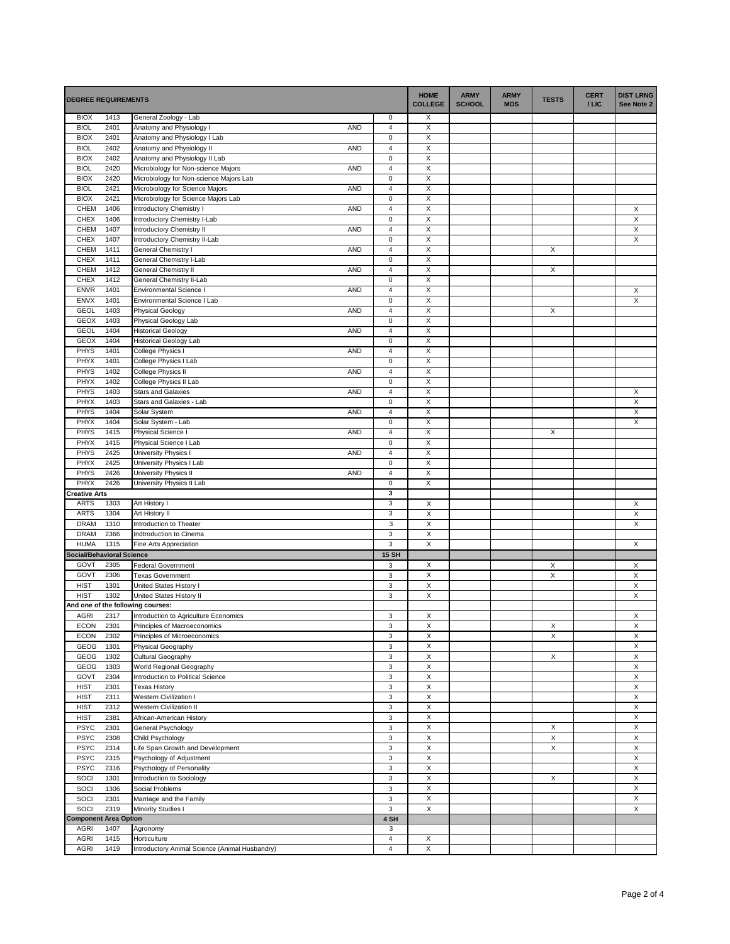| <b>DEGREE REQUIREMENTS</b>               |              |                                                                          | <b>HOME</b><br><b>COLLEGE</b>            | <b>ARMY</b><br><b>SCHOOL</b> | <b>ARMY</b><br><b>MOS</b> | <b>TESTS</b> | <b>CERT</b><br>$/$ LIC | <b>DIST LRNG</b><br>See Note 2 |                         |
|------------------------------------------|--------------|--------------------------------------------------------------------------|------------------------------------------|------------------------------|---------------------------|--------------|------------------------|--------------------------------|-------------------------|
| <b>BIOX</b>                              | 1413         | General Zoology - Lab                                                    | 0                                        | Х                            |                           |              |                        |                                |                         |
| <b>BIOL</b>                              | 2401         | <b>AND</b><br>Anatomy and Physiology I                                   | $\overline{\mathbf{4}}$                  | X                            |                           |              |                        |                                |                         |
| <b>BIOX</b>                              | 2401         | Anatomy and Physiology I Lab                                             | $\mathbf 0$                              | X                            |                           |              |                        |                                |                         |
| <b>BIOL</b><br><b>BIOX</b>               | 2402<br>2402 | Anatomy and Physiology II<br><b>AND</b><br>Anatomy and Physiology II Lab | $\overline{4}$<br>$\mathbf 0$            | $\overline{X}$<br>X          |                           |              |                        |                                |                         |
| <b>BIOL</b>                              | 2420         | Microbiology for Non-science Majors<br><b>AND</b>                        | $\sqrt{4}$                               | X                            |                           |              |                        |                                |                         |
| <b>BIOX</b>                              | 2420         | Microbiology for Non-science Majors Lab                                  | $\mathbf 0$                              | X                            |                           |              |                        |                                |                         |
| <b>BIOL</b>                              | 2421         | Microbiology for Science Majors<br><b>AND</b>                            | $\overline{4}$                           | X                            |                           |              |                        |                                |                         |
| <b>BIOX</b>                              | 2421         | Microbiology for Science Majors Lab                                      | $\mathbf 0$                              | X                            |                           |              |                        |                                |                         |
| <b>CHEM</b>                              | 1406         | <b>AND</b><br>Introductory Chemistry I                                   | $\overline{4}$                           | X                            |                           |              |                        |                                | X                       |
| <b>CHEX</b>                              | 1406         | Introductory Chemistry I-Lab                                             | $\pmb{0}$                                | X                            |                           |              |                        |                                | $\overline{\mathsf{x}}$ |
| CHEM                                     | 1407         | <b>Introductory Chemistry II</b><br><b>AND</b>                           | $\overline{\mathbf{4}}$                  | X                            |                           |              |                        |                                | X                       |
| <b>CHEX</b>                              | 1407<br>1411 | Introductory Chemistry II-Lab<br>AND                                     | $\pmb{0}$                                | X<br>X                       |                           |              | X                      |                                | X                       |
| <b>CHEM</b><br>CHEX                      | 1411         | General Chemistry I<br>General Chemistry I-Lab                           | $\overline{4}$<br>$\mathsf 0$            | X                            |                           |              |                        |                                |                         |
| CHEM                                     | 1412         | <b>AND</b><br>General Chemistry II                                       | $\overline{\mathbf{4}}$                  | X                            |                           |              | X                      |                                |                         |
| <b>CHEX</b>                              | 1412         | General Chemistry II-Lab                                                 | $\pmb{0}$                                | X                            |                           |              |                        |                                |                         |
| <b>ENVR</b>                              | 1401         | <b>AND</b><br>Environmental Science I                                    | $\sqrt{4}$                               | X                            |                           |              |                        |                                | X                       |
| ENVX                                     | 1401         | Environmental Science I Lab                                              | $\mathbf 0$                              | X                            |                           |              |                        |                                | X                       |
| <b>GEOL</b>                              | 1403         | <b>AND</b><br>Physical Geology                                           | $\overline{\mathbf{4}}$                  | X                            |                           |              | X                      |                                |                         |
| <b>GEOX</b>                              | 1403         | Physical Geology Lab                                                     | $\pmb{0}$                                | X                            |                           |              |                        |                                |                         |
| <b>GEOL</b>                              | 1404         | <b>Historical Geology</b><br><b>AND</b>                                  | $\overline{\mathbf{4}}$                  | X                            |                           |              |                        |                                |                         |
| <b>GEOX</b>                              | 1404         | <b>Historical Geology Lab</b><br><b>AND</b>                              | $\pmb{0}$<br>$\overline{\mathbf{4}}$     | $\overline{X}$               |                           |              |                        |                                |                         |
| PHYS<br>PHYX                             | 1401<br>1401 | College Physics I<br>College Physics I Lab                               | $\mathsf 0$                              | X<br>X                       |                           |              |                        |                                |                         |
| <b>PHYS</b>                              | 1402         | College Physics II<br>AND                                                | $\overline{4}$                           | X                            |                           |              |                        |                                |                         |
| PHYX                                     | 1402         | College Physics II Lab                                                   | $\pmb{0}$                                | X                            |                           |              |                        |                                |                         |
| PHYS                                     | 1403         | <b>AND</b><br><b>Stars and Galaxies</b>                                  | $\overline{4}$                           | X                            |                           |              |                        |                                | X                       |
| PHYX                                     | 1403         | Stars and Galaxies - Lab                                                 | $\mathbf 0$                              | Χ                            |                           |              |                        |                                | $\overline{X}$          |
| <b>PHYS</b>                              | 1404         | <b>AND</b><br>Solar System                                               | $\overline{\mathbf{4}}$                  | X                            |                           |              |                        |                                | X                       |
| PHYX                                     | 1404         | Solar System - Lab                                                       | $\mathsf 0$                              | X                            |                           |              |                        |                                | X                       |
| <b>PHYS</b>                              | 1415         | AND<br>Physical Science I                                                | $\overline{4}$                           | X                            |                           |              | X                      |                                |                         |
| PHYX<br>PHYS                             | 1415<br>2425 | Physical Science I Lab<br><b>University Physics</b><br><b>AND</b>        | $\mathsf 0$<br>$\overline{\mathbf{4}}$   | X<br>X                       |                           |              |                        |                                |                         |
| PHYX                                     | 2425         | University Physics I Lab                                                 | $\pmb{0}$                                | X                            |                           |              |                        |                                |                         |
| <b>PHYS</b>                              | 2426         | University Physics II<br><b>AND</b>                                      | $\overline{\mathbf{4}}$                  | X                            |                           |              |                        |                                |                         |
| PHYX                                     | 2426         | University Physics II Lab                                                | $\pmb{0}$                                | X                            |                           |              |                        |                                |                         |
| <b>Creative Arts</b>                     |              |                                                                          | 3                                        |                              |                           |              |                        |                                |                         |
| <b>ARTS</b>                              | 1303         | Art History I                                                            | 3                                        | X                            |                           |              |                        |                                | X                       |
| <b>ARTS</b>                              | 1304         | Art History II                                                           | 3                                        | $\overline{\mathsf{x}}$      |                           |              |                        |                                | X                       |
| <b>DRAM</b>                              | 1310         | Introduction to Theater                                                  | $\ensuremath{\mathsf{3}}$                | X                            |                           |              |                        |                                | X                       |
| <b>DRAM</b>                              | 2366         | Indtroduction to Cinema                                                  | 3                                        | $\mathsf X$                  |                           |              |                        |                                |                         |
| <b>HUMA</b>                              | 1315         | Fine Arts Appreciation                                                   | $\ensuremath{\mathsf{3}}$                | $\boldsymbol{\mathsf{X}}$    |                           |              |                        |                                | X                       |
| <b>Social/Behavioral Science</b><br>GOVT | 2305         | <b>Federal Government</b>                                                | <b>15 SH</b><br>3                        | X                            |                           |              | Χ                      |                                | X                       |
| GOVT                                     | 2306         | <b>Texas Government</b>                                                  | $\ensuremath{\mathsf{3}}$                | $\mathsf X$                  |                           |              | X                      |                                | X                       |
| <b>HIST</b>                              | 1301         | United States History I                                                  | 3                                        | X                            |                           |              |                        |                                | X                       |
| <b>HIST</b>                              | 1302         | United States History II                                                 | $\ensuremath{\mathsf{3}}$                | $\mathsf X$                  |                           |              |                        |                                | Χ                       |
|                                          |              | And one of the following courses:                                        |                                          |                              |                           |              |                        |                                |                         |
| <b>AGRI</b>                              | 2317         | Introduction to Agriculture Economics                                    | 3                                        | X                            |                           |              |                        |                                | X                       |
| <b>ECON</b>                              | 2301         | Principles of Macroeconomics                                             | 3                                        | Х                            |                           |              | х                      |                                | X                       |
| <b>ECON</b>                              | 2302         | Principles of Microeconomics                                             | 3                                        | X                            |                           |              | X                      |                                | X                       |
| GEOG                                     | 1301         | Physical Geography                                                       | $\mathbf 3$                              | X                            |                           |              |                        |                                | X                       |
| GEOG<br>GEOG                             | 1302<br>1303 | Cultural Geography                                                       | $\mathbf 3$<br>$\ensuremath{\mathsf{3}}$ | X<br>$\mathsf X$             |                           |              | X                      |                                | X<br>X                  |
| GOVT                                     | 2304         | World Regional Geography<br>Introduction to Political Science            | $\mathbf 3$                              | X                            |                           |              |                        |                                | X                       |
| <b>HIST</b>                              | 2301         | <b>Texas History</b>                                                     | $\mathbf 3$                              | $\mathsf X$                  |                           |              |                        |                                | X                       |
| <b>HIST</b>                              | 2311         | Western Civilization I                                                   | $\mathbf 3$                              | $\mathsf X$                  |                           |              |                        |                                | X                       |
| <b>HIST</b>                              | 2312         | <b>Western Civilization II</b>                                           | 3                                        | X                            |                           |              |                        |                                | X                       |
| <b>HIST</b>                              | 2381         | African-American History                                                 | 3                                        | $\mathsf X$                  |                           |              |                        |                                | Χ                       |
| <b>PSYC</b>                              | 2301         | General Psychology                                                       | 3                                        | X                            |                           |              | X                      |                                | X                       |
| <b>PSYC</b>                              | 2308         | Child Psychology                                                         | 3                                        | X                            |                           |              | $\mathsf X$            |                                | X                       |
| <b>PSYC</b>                              | 2314         | Life Span Growth and Development                                         | 3                                        | X                            |                           |              | X                      |                                | X                       |
| <b>PSYC</b><br><b>PSYC</b>               | 2315<br>2316 | Psychology of Adjustment                                                 | 3<br>3                                   | X<br>$\mathsf X$             |                           |              |                        |                                | X<br>$\mathsf X$        |
| SOCI                                     | 1301         | Psychology of Personality<br>Introduction to Sociology                   | 3                                        | X                            |                           |              | Х                      |                                | X                       |
| SOCI                                     | 1306         | Social Problems                                                          | 3                                        | $\mathsf X$                  |                           |              |                        |                                | X                       |
| SOCI                                     | 2301         | Marriage and the Family                                                  | 3                                        | $\mathsf X$                  |                           |              |                        |                                | X                       |
| SOCI                                     | 2319         | Minority Studies I                                                       | 3                                        | X                            |                           |              |                        |                                | X                       |
| <b>Component Area Option</b>             |              |                                                                          | 4 SH                                     |                              |                           |              |                        |                                |                         |
| <b>AGRI</b>                              | 1407         | Agronomy                                                                 | 3                                        |                              |                           |              |                        |                                |                         |
| <b>AGRI</b>                              | 1415         | Horticulture                                                             | $\overline{4}$                           | X                            |                           |              |                        |                                |                         |
| <b>AGRI</b>                              | 1419         | Introductory Animal Science (Animal Husbandry)                           | $\overline{4}$                           | X                            |                           |              |                        |                                |                         |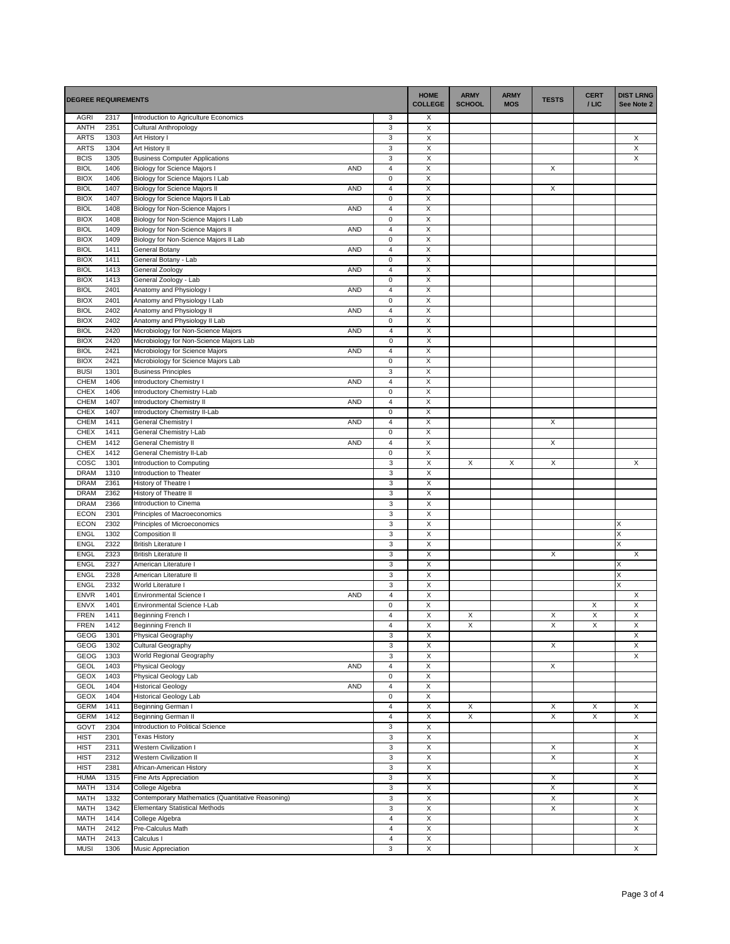| <b>DEGREE REQUIREMENTS</b> |              |                                                                      | <b>HOME</b><br><b>COLLEGE</b>    | <b>ARMY</b><br><b>SCHOOL</b>              | <b>ARMY</b><br><b>MOS</b> | <b>TESTS</b> | <b>CERT</b><br>$/$ LIC | <b>DIST LRNG</b><br>See Note 2 |                              |
|----------------------------|--------------|----------------------------------------------------------------------|----------------------------------|-------------------------------------------|---------------------------|--------------|------------------------|--------------------------------|------------------------------|
| <b>AGRI</b>                | 2317         | Introduction to Agriculture Economics                                | 3                                | X                                         |                           |              |                        |                                |                              |
| <b>ANTH</b>                | 2351         | Cultural Anthropology                                                | 3                                | X                                         |                           |              |                        |                                |                              |
| <b>ARTS</b><br><b>ARTS</b> | 1303<br>1304 | Art History I<br>Art History II                                      | $\ensuremath{\mathsf{3}}$<br>3   | X<br>X                                    |                           |              |                        |                                | X<br>X                       |
| <b>BCIS</b>                | 1305         | <b>Business Computer Applications</b>                                | 3                                | $\mathsf X$                               |                           |              |                        |                                | X                            |
| <b>BIOL</b>                | 1406         | <b>Biology for Science Majors I</b><br><b>AND</b>                    | $\overline{\mathbf{4}}$          | X                                         |                           |              | Х                      |                                |                              |
| <b>BIOX</b>                | 1406         | Biology for Science Majors I Lab                                     | $\pmb{0}$                        | X                                         |                           |              |                        |                                |                              |
| <b>BIOL</b>                | 1407         | <b>AND</b><br>Biology for Science Majors II                          | $\sqrt{4}$                       | X                                         |                           |              | X                      |                                |                              |
| <b>BIOX</b>                | 1407         | Biology for Science Majors II Lab                                    | $\mathbf 0$                      | X                                         |                           |              |                        |                                |                              |
| <b>BIOL</b>                | 1408         | <b>AND</b><br>Biology for Non-Science Majors                         | $\overline{\mathbf{4}}$          | Χ                                         |                           |              |                        |                                |                              |
| <b>BIOX</b>                | 1408         | Biology for Non-Science Majors I Lab                                 | $\pmb{0}$                        | $\overline{X}$                            |                           |              |                        |                                |                              |
| <b>BIOL</b>                | 1409         | Biology for Non-Science Majors II<br><b>AND</b>                      | $\overline{4}$                   | X                                         |                           |              |                        |                                |                              |
| <b>BIOX</b><br><b>BIOL</b> | 1409<br>1411 | Biology for Non-Science Majors II Lab<br>AND                         | $\mathsf 0$<br>$\overline{4}$    | X<br>X                                    |                           |              |                        |                                |                              |
| <b>BIOX</b>                | 1411         | General Botany<br>General Botany - Lab                               | $\mathsf 0$                      | X                                         |                           |              |                        |                                |                              |
| <b>BIOL</b>                | 1413         | General Zoology<br><b>AND</b>                                        | $\overline{4}$                   | X                                         |                           |              |                        |                                |                              |
| <b>BIOX</b>                | 1413         | General Zoology - Lab                                                | $\mathbf 0$                      | Χ                                         |                           |              |                        |                                |                              |
| <b>BIOL</b>                | 2401         | Anatomy and Physiology<br><b>AND</b>                                 | $\overline{\mathbf{4}}$          | X                                         |                           |              |                        |                                |                              |
| <b>BIOX</b>                | 2401         | Anatomy and Physiology I Lab                                         | $\pmb{0}$                        | X                                         |                           |              |                        |                                |                              |
| <b>BIOL</b>                | 2402         | Anatomy and Physiology II<br>AND                                     | $\sqrt{4}$                       | X                                         |                           |              |                        |                                |                              |
| <b>BIOX</b>                | 2402         | Anatomy and Physiology II Lab                                        | $\mathsf 0$                      | X                                         |                           |              |                        |                                |                              |
| <b>BIOL</b>                | 2420         | Microbiology for Non-Science Majors<br><b>AND</b>                    | $\overline{4}$                   | X                                         |                           |              |                        |                                |                              |
| <b>BIOX</b>                | 2420         | Microbiology for Non-Science Majors Lab                              | $\mathsf 0$                      | $\overline{\mathsf{x}}$                   |                           |              |                        |                                |                              |
| <b>BIOL</b><br><b>BIOX</b> | 2421<br>2421 | Microbiology for Science Majors<br><b>AND</b>                        | $\overline{4}$<br>$\pmb{0}$      | X<br>X                                    |                           |              |                        |                                |                              |
| <b>BUSI</b>                | 1301         | Microbiology for Science Majors Lab<br><b>Business Principles</b>    | 3                                | X                                         |                           |              |                        |                                |                              |
| CHEM                       | 1406         | <b>AND</b><br>Introductory Chemistry I                               | $\sqrt{4}$                       | X                                         |                           |              |                        |                                |                              |
| CHEX                       | 1406         | Introductory Chemistry I-Lab                                         | $\pmb{0}$                        | X                                         |                           |              |                        |                                |                              |
| CHEM                       | 1407         | Introductory Chemistry II<br><b>AND</b>                              | $\overline{\mathbf{4}}$          | X                                         |                           |              |                        |                                |                              |
| <b>CHEX</b>                | 1407         | Introductory Chemistry II-Lab                                        | $\pmb{0}$                        | $\overline{X}$                            |                           |              |                        |                                |                              |
| <b>CHEM</b>                | 1411         | <b>AND</b><br>General Chemistry I                                    | $\overline{4}$                   | X                                         |                           |              | X                      |                                |                              |
| CHEX                       | 1411         | General Chemistry I-Lab                                              | $\pmb{0}$                        | X                                         |                           |              |                        |                                |                              |
| CHEM                       | 1412         | General Chemistry II<br>AND                                          | $\overline{4}$                   | X                                         |                           |              | X                      |                                |                              |
| <b>CHEX</b>                | 1412         | General Chemistry II-Lab                                             | $\mathbf 0$                      | X                                         |                           |              |                        |                                |                              |
| COSC                       | 1301         | Introduction to Computing                                            | 3                                | X                                         | X                         | X            | X                      |                                | X                            |
| <b>DRAM</b>                | 1310         | Introduction to Theater                                              | $\ensuremath{\mathsf{3}}$        | $\overline{X}$                            |                           |              |                        |                                |                              |
| <b>DRAM</b><br><b>DRAM</b> | 2361<br>2362 | History of Theatre I                                                 | 3<br>$\ensuremath{\mathsf{3}}$   | $\overline{\mathsf{x}}$<br>X              |                           |              |                        |                                |                              |
| <b>DRAM</b>                | 2366         | History of Theatre II<br>Introduction to Cinema                      | $\mathbf{3}$                     | $\mathsf X$                               |                           |              |                        |                                |                              |
| <b>ECON</b>                | 2301         | Principles of Macroeconomics                                         | 3                                | $\overline{\mathsf{x}}$                   |                           |              |                        |                                |                              |
| <b>ECON</b>                | 2302         | Principles of Microeconomics                                         | $\ensuremath{\mathsf{3}}$        | X                                         |                           |              |                        |                                | $\mathsf X$                  |
| ENGL                       | 1302         | <b>Composition II</b>                                                | $\ensuremath{\mathsf{3}}$        | $\overline{X}$                            |                           |              |                        |                                | Χ                            |
| ENGL                       | 2322         | <b>British Literature</b>                                            | $\ensuremath{\mathsf{3}}$        | $\mathsf X$                               |                           |              |                        |                                | X                            |
| ENGL                       | 2323         | <b>British Literature II</b>                                         | $\ensuremath{\mathsf{3}}$        | X                                         |                           |              | X                      |                                | X                            |
| ENGL                       | 2327         | American Literature I                                                | 3                                | X                                         |                           |              |                        |                                | X                            |
| <b>ENGL</b>                | 2328         | American Literature II                                               | 3                                | X                                         |                           |              |                        |                                | X                            |
| <b>ENGL</b>                | 2332         | World Literature I                                                   | 3                                | X                                         |                           |              |                        |                                | Χ                            |
| <b>ENVR</b><br><b>ENVX</b> | 1401<br>1401 | Environmental Science I<br><b>AND</b><br>Environmental Science I-Lab | $\overline{4}$<br>$\mathsf 0$    | $\overline{X}$<br>$\overline{\mathsf{x}}$ |                           |              |                        | X                              | X<br>$\overline{\mathsf{x}}$ |
| <b>FREN</b>                | 1411         | Beginning French I                                                   | $\overline{\mathbf{4}}$          | $\boldsymbol{\mathsf{X}}$                 | X                         |              | X                      | X                              | X                            |
| <b>FREN</b>                | 1412         | Beginning French II                                                  | 4                                | X                                         | Х                         |              | Х                      | X                              | X                            |
| GEOG                       | 1301         | Physical Geography                                                   | 3                                | X                                         |                           |              |                        |                                | X                            |
| GEOG                       | 1302         | Cultural Geography                                                   | 3                                | $\overline{X}$                            |                           |              | X                      |                                | X                            |
| GEOG                       | 1303         | World Regional Geography                                             | $\ensuremath{\mathsf{3}}$        | X                                         |                           |              |                        |                                | X                            |
| <b>GEOL</b>                | 1403         | AND<br><b>Physical Geology</b>                                       | $\overline{4}$                   | X                                         |                           |              | X                      |                                |                              |
| <b>GEOX</b>                | 1403         | Physical Geology Lab                                                 | $\mathsf 0$                      | X                                         |                           |              |                        |                                |                              |
| <b>GEOL</b>                | 1404         | <b>Historical Geology</b><br>AND                                     | $\overline{4}$                   | X                                         |                           |              |                        |                                |                              |
| <b>GEOX</b><br><b>GERM</b> | 1404         | <b>Historical Geology Lab</b>                                        | $\mathbf 0$<br>$\overline{4}$    | X<br>X                                    |                           |              |                        | X                              |                              |
| <b>GERM</b>                | 1411<br>1412 | Beginning German I<br>Beginning German II                            | $\sqrt{4}$                       | $\overline{\mathsf{x}}$                   | X<br>X                    |              | Х<br>Χ                 | X                              | X<br>X                       |
| GOVT                       | 2304         | Introduction to Political Science                                    | 3                                | $\overline{X}$                            |                           |              |                        |                                |                              |
| <b>HIST</b>                | 2301         | <b>Texas History</b>                                                 | 3                                | $\overline{X}$                            |                           |              |                        |                                | X                            |
| <b>HIST</b>                | 2311         | Western Civilization I                                               | $\mathbf{3}$                     | $\overline{\mathsf{x}}$                   |                           |              | Х                      |                                | X                            |
| <b>HIST</b>                | 2312         | Western Civilization II                                              | 3                                | X                                         |                           |              | X                      |                                | X                            |
| <b>HIST</b>                | 2381         | African-American History                                             | 3                                | X                                         |                           |              |                        |                                | X                            |
| <b>HUMA</b>                | 1315         | Fine Arts Appreciation                                               | 3                                | $\overline{\mathsf{x}}$                   |                           |              | X                      |                                | X                            |
| <b>MATH</b>                | 1314         | College Algebra                                                      | $\ensuremath{\mathsf{3}}$        | X                                         |                           |              | X                      |                                | X                            |
| <b>MATH</b>                | 1332         | Contemporary Mathematics (Quantitative Reasoning)                    | $\ensuremath{\mathsf{3}}$        | X                                         |                           |              | X                      |                                | X                            |
| MATH                       | 1342         | <b>Elementary Statistical Methods</b>                                | 3                                | X                                         |                           |              | X                      |                                | X                            |
| <b>MATH</b>                | 1414         | College Algebra                                                      | $\sqrt{4}$                       | X                                         |                           |              |                        |                                | X                            |
| <b>MATH</b><br><b>MATH</b> | 2412<br>2413 | Pre-Calculus Math<br>Calculus I                                      | $\overline{4}$<br>$\overline{4}$ | X<br>X                                    |                           |              |                        |                                | X                            |
| <b>MUSI</b>                | 1306         | Music Appreciation                                                   | 3                                | X                                         |                           |              |                        |                                | X                            |
|                            |              |                                                                      |                                  |                                           |                           |              |                        |                                |                              |